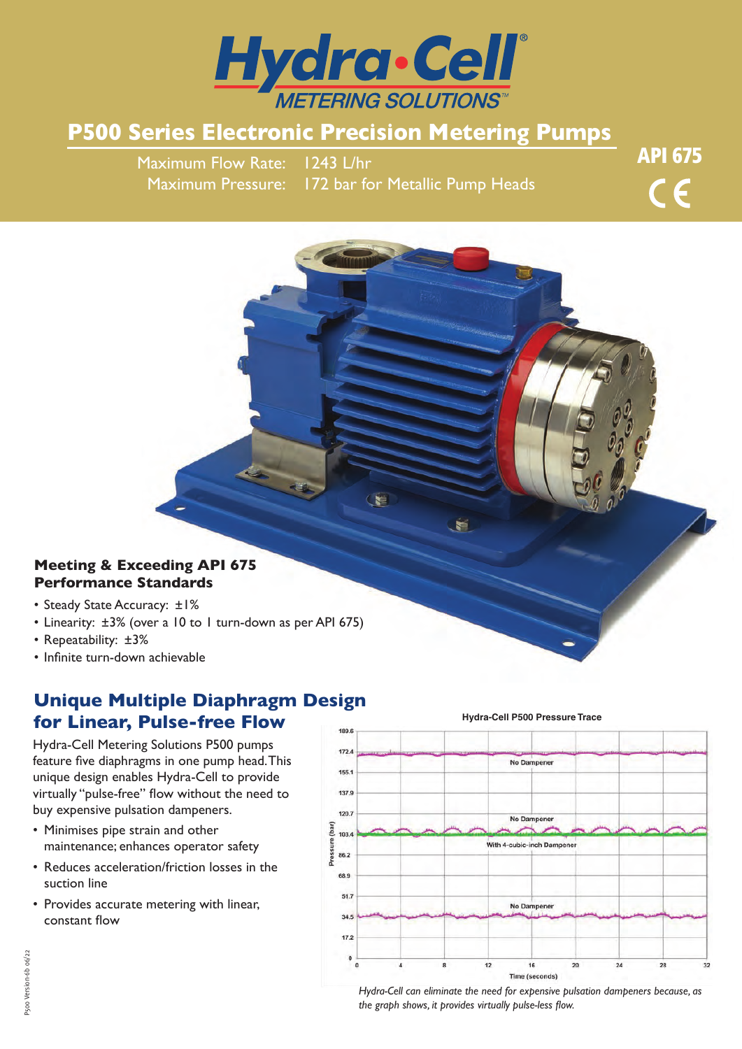

# **P500 Series Electronic Precision Metering Pumps**

Maximum Flow Rate: 1243 L/hr Maximum Pressure: 172 bar for Metallic Pump Heads API 675 $\epsilon$ 

## **Meeting & Exceeding API 675 Performance Standards**

- Steady State Accuracy: ±1%
- Linearity: ±3% (over a 10 to 1 turn-down as per API 675)
- Repeatability: ±3%
- Infinite turn-down achievable

## **Unique Multiple Diaphragm Design for Linear, Pulse-free Flow**

Hydra-Cell Metering Solutions P500 pumps feature five diaphragms in one pump head. This unique design enables Hydra-Cell to provide virtually "pulse-free" flow without the need to buy expensive pulsation dampeners.

- Minimises pipe strain and other maintenance; enhances operator safety
- Reduces acceleration/friction losses in the suction line
- Provides accurate metering with linear, constant flow



### **Hydra-Cell P500 Pressure Trace**

*Hydra-Cell can eliminate the need for expensive pulsation dampeners because, as the graph shows, it provides virtually pulse-less flow.*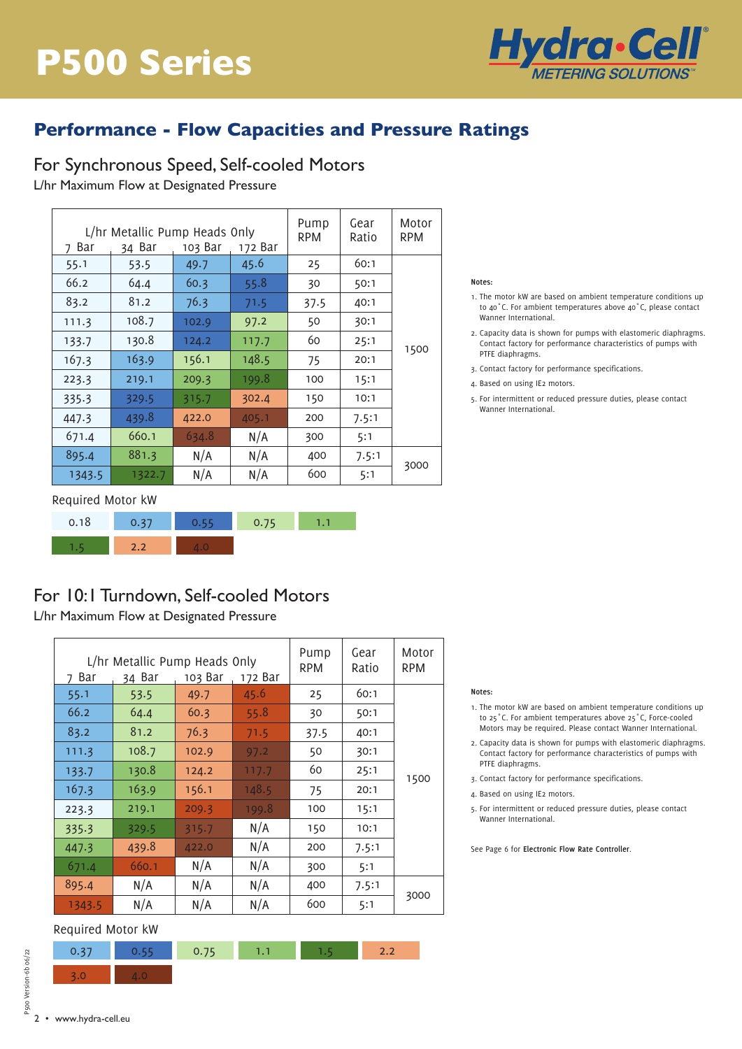

## **Performance - Flow Capacities and Pressure Ratings**

For Synchronous Speed, Self-cooled Motors L/hr Maximum Flow at Designated Pressure  $rs$ Ratio

| L/hr Metallic Pump Heads Only<br>103 Bar<br>7 Bar<br>34 Bar<br>172 Bar |        |       | Pump<br><b>RPM</b> | Gear<br>Ratio | Motor<br><b>RPM</b> |      |
|------------------------------------------------------------------------|--------|-------|--------------------|---------------|---------------------|------|
| 55.1                                                                   | 53.5   | 49.7  | 45.6               | 25            | 60:1                |      |
| 66.2                                                                   | 64.4   | 60.3  | 55.8               | 30            | 50:1                |      |
| 83.2                                                                   | 81.2   | 76.3  | 71.5               | 37.5          | 40:1                |      |
| 111.3                                                                  | 108.7  | 102.9 | 97.2               | 50            | 30:1                |      |
| 133.7                                                                  | 130.8  | 124.2 | 117.7              | 60            | 25:1                | 1500 |
| 167.3                                                                  | 163.9  | 156.1 | 148.5              | 75            | 20:1                |      |
| 223.3                                                                  | 219.1  | 209.3 | 199.8              | 100           | 15:1                |      |
| 335.3                                                                  | 329.5  | 315.7 | 302.4              | 150           | 10:1                |      |
| 447.3                                                                  | 439.8  | 422.0 | 405.1              | 200           | 7.5:1               |      |
| 671.4                                                                  | 660.1  | 634.8 | N/A                | 300           | 5:1                 |      |
| 895.4                                                                  | 881.3  | N/A   | N/A                | 400           | 7.5:1               |      |
| 1343.5                                                                 | 1322.7 | N/A   | N/A                | 600           | 5:1                 | 3000 |

Required Motor kW

| 0.18 | マラ            |  |  |
|------|---------------|--|--|
|      | $\mathcal{D}$ |  |  |

## For 10:1 Turndown, Self-cooled Motors

L/hr Maximum Flow at Designated Pressure

| L/hr Metallic Pump Heads Only<br>Bar<br>34 Bar<br>103 Bar<br>172 Bar<br>7 |       |       | Pump<br><b>RPM</b> | Gear<br>Ratio | Motor<br><b>RPM</b> |      |
|---------------------------------------------------------------------------|-------|-------|--------------------|---------------|---------------------|------|
| 55.1                                                                      | 53.5  | 49.7  | 45.6               | 25            | 60:1                |      |
| 66.2                                                                      | 64.4  | 60.3  | 55.8               | 30            | 50:1                |      |
| 83.2                                                                      | 81.2  | 76.3  | 71.5               | 37.5          | 40:1                |      |
| 111.3                                                                     | 108.7 | 102.9 | 97.2               | 50            | 30:1                |      |
| 133.7                                                                     | 130.8 | 124.2 | 117.7              | 60            | 25:1                | 1500 |
| 167.3                                                                     | 163.9 | 156.1 | 148.5              | 75            | 20:1                |      |
| 223.3                                                                     | 219.1 | 209.3 | 199.8              | 100           | 15:1                |      |
| 335.3                                                                     | 329.5 | 315.7 | N/A                | 150           | 10:1                |      |
| 447.3                                                                     | 439.8 | 422.0 | N/A                | 200           | 7.5:1               |      |
| 671.4                                                                     | 660.1 | N/A   | N/A                | 300           | 5:1                 |      |
| 895.4                                                                     | N/A   | N/A   | N/A                | 400           | 7.5:1               |      |
| 1343.5                                                                    | N/A   | N/A   | N/A                | 600           | 5:1                 | 3000 |

## Required Motor kW

Required Motor kW

|  | 1.1 - |  |  |
|--|-------|--|--|
|  |       |  |  |

#### **Notes:**

- 1. The motor kW are based on ambient temperature conditions up to 40˚C. For ambient temperatures above 40˚C, please contact Wanner International.
- 2. Capacity data is shown for pumps with elastomeric diaphragms. Contact factory for performance characteristics of pumps with PTFE diaphragms.
- 3. Contact factory for performance specifications.
- 4. Based on using IE2 motors.
- 5. For intermittent or reduced pressure duties, please contact Wanner International.

#### **Notes:**

- 1. The motor kW are based on ambient temperature conditions up to 25˚C. For ambient temperatures above 25˚C, Force-cooled Motors may be required. Please contact Wanner International.
- 2. Capacity data is shown for pumps with elastomeric diaphragms. Contact factory for performance characteristics of pumps with PTFE diaphragms.
- 3. Contact factory for performance specifications.
- 4. Based on using IE2 motors.
- 5. For intermittent or reduced pressure duties, please contact Wanner International.

See Page 6 for **Electronic Flow Rate Controller**.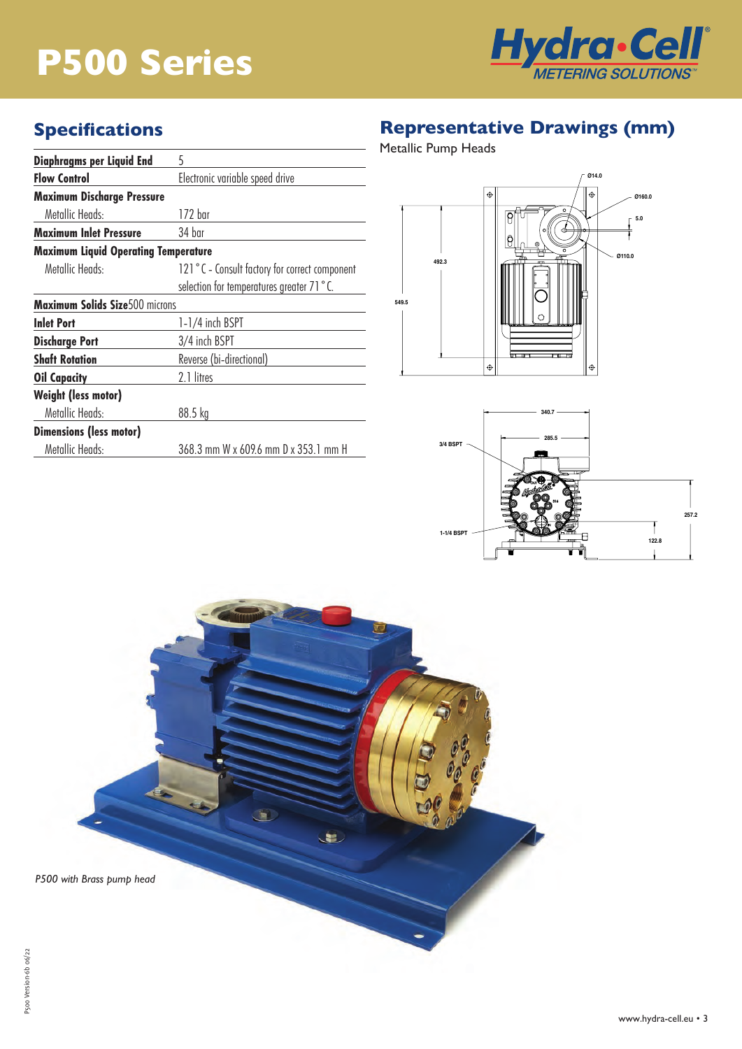# **P500 Series**



# **Specifications**

| Diaphragms per Liquid End                   | 5                                             |  |  |
|---------------------------------------------|-----------------------------------------------|--|--|
| <b>Flow Control</b>                         | Electronic variable speed drive               |  |  |
| <b>Maximum Discharge Pressure</b>           |                                               |  |  |
| Metallic Heads:                             | 172 har                                       |  |  |
| <b>Maximum Inlet Pressure</b>               | 34 har                                        |  |  |
| <b>Maximum Liquid Operating Temperature</b> |                                               |  |  |
| Metallic Heads:                             | 121°C - Consult factory for correct component |  |  |
|                                             | selection for temperatures greater 71 °C.     |  |  |
| <b>Maximum Solids Size</b> 500 microns      |                                               |  |  |
| <b>Inlet Port</b>                           | 1-1/4 inch BSPT                               |  |  |
| <b>Discharge Port</b>                       | 3/4 inch BSPT                                 |  |  |
| <b>Shaft Rotation</b>                       | Reverse (bi-directional)                      |  |  |
| <b>Oil Capacity</b>                         | 2.1 litres                                    |  |  |
| <b>Weight (less motor)</b>                  |                                               |  |  |
| Metallic Heads:                             | 88.5 kg                                       |  |  |
| <b>Dimensions (less motor)</b>              |                                               |  |  |
| Metallic Heads:                             | 368.3 mm W x 609.6 mm D x 353.1 mm H          |  |  |

# **Representative Drawings (mm)**

Metallic Pump Heads





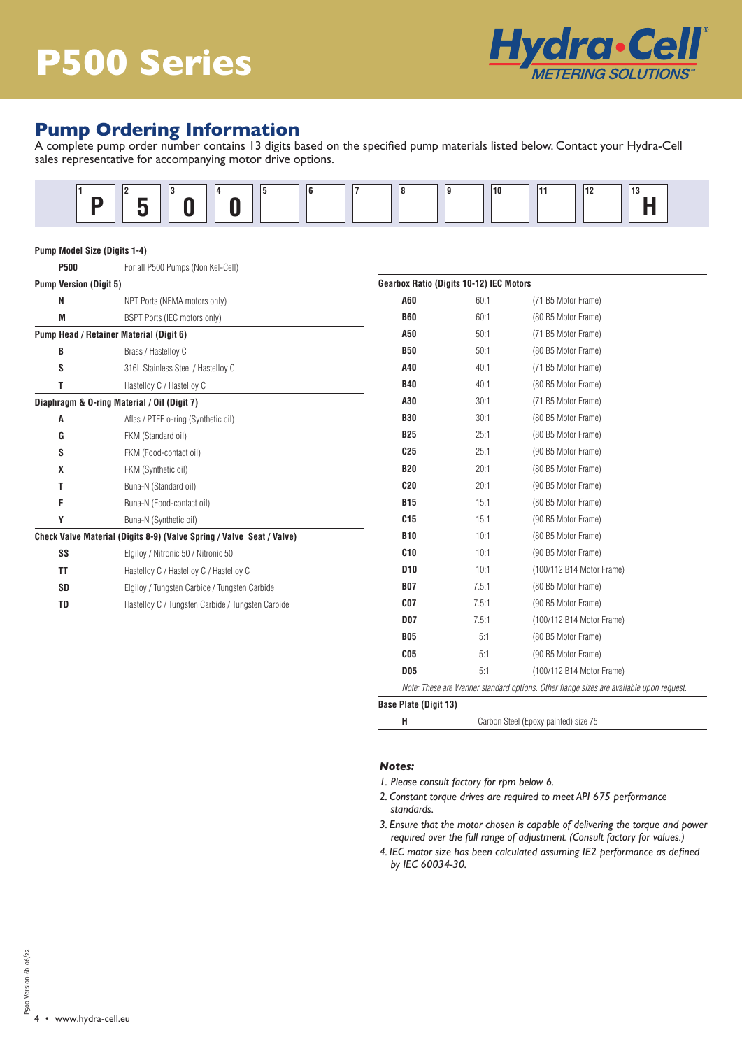

## **Pump Ordering Information**

A complete pump order number contains 13 digits based on the specified pump materials listed below. Contact your Hydra-Cell sales representative for accompanying motor drive options.



### **Pump Model Size (Digits 1-4)**

| <b>P500</b>                   | For all P500 Pumps (Non Kel-Cell)                                     |                                                |       |                           |  |
|-------------------------------|-----------------------------------------------------------------------|------------------------------------------------|-------|---------------------------|--|
| <b>Pump Version (Digit 5)</b> |                                                                       | <b>Gearbox Ratio (Digits 10-12) IEC Motors</b> |       |                           |  |
| N                             | NPT Ports (NEMA motors only)                                          | A60                                            | 60:1  | (71 B5 Motor Frame)       |  |
| M                             | BSPT Ports (IEC motors only)                                          | <b>B60</b>                                     | 60:1  | (80 B5 Motor Frame)       |  |
|                               | Pump Head / Retainer Material (Digit 6)                               | A50                                            | 50:1  | (71 B5 Motor Frame)       |  |
| B                             | Brass / Hastelloy C                                                   | <b>B50</b>                                     | 50:1  | (80 B5 Motor Frame)       |  |
| S                             | 316L Stainless Steel / Hastelloy C                                    | A40                                            | 40:1  | (71 B5 Motor Frame)       |  |
| т                             | Hastelloy C / Hastelloy C                                             | <b>B40</b>                                     | 40:1  | (80 B5 Motor Frame)       |  |
|                               | Diaphragm & O-ring Material / Oil (Digit 7)                           | A30                                            | 30:1  | (71 B5 Motor Frame)       |  |
| A                             | Aflas / PTFE o-ring (Synthetic oil)                                   | <b>B30</b>                                     | 30:1  | (80 B5 Motor Frame)       |  |
| G                             | FKM (Standard oil)                                                    | <b>B25</b>                                     | 25:1  | (80 B5 Motor Frame)       |  |
| S                             | FKM (Food-contact oil)                                                | C <sub>25</sub>                                | 25:1  | (90 B5 Motor Frame)       |  |
| X                             | FKM (Synthetic oil)                                                   | <b>B20</b>                                     | 20:1  | (80 B5 Motor Frame)       |  |
| т                             | Buna-N (Standard oil)                                                 | C20                                            | 20:1  | (90 B5 Motor Frame)       |  |
| F                             | Buna-N (Food-contact oil)                                             | <b>B15</b>                                     | 15:1  | (80 B5 Motor Frame)       |  |
| Υ                             | Buna-N (Synthetic oil)                                                | C <sub>15</sub>                                | 15:1  | (90 B5 Motor Frame)       |  |
|                               | Check Valve Material (Digits 8-9) (Valve Spring / Valve Seat / Valve) | <b>B10</b>                                     | 10:1  | (80 B5 Motor Frame)       |  |
| SS                            | Elgiloy / Nitronic 50 / Nitronic 50                                   | C10                                            | 10:1  | (90 B5 Motor Frame)       |  |
| ΤT                            | Hastelloy C / Hastelloy C / Hastelloy C                               | D <sub>10</sub>                                | 10:1  | (100/112 B14 Motor Frame) |  |
| <b>SD</b>                     | Elgiloy / Tungsten Carbide / Tungsten Carbide                         | <b>B07</b>                                     | 7.5:1 | (80 B5 Motor Frame)       |  |
| TD                            | Hastelloy C / Tungsten Carbide / Tungsten Carbide                     | CO <sub>7</sub>                                | 7.5:1 | (90 B5 Motor Frame)       |  |
|                               |                                                                       | <b>D07</b>                                     | 7.5:1 | (100/112 B14 Motor Frame) |  |
|                               |                                                                       | <b>DOC</b>                                     | E.1   | $(0 \cap DE$ Motor Eramo) |  |

| BZ5                          | 25.T  | (80 B5 MOTOR FRAME)                                                                    |
|------------------------------|-------|----------------------------------------------------------------------------------------|
| C25                          | 25:1  | (90 B5 Motor Frame)                                                                    |
| <b>B20</b>                   | 20:1  | (80 B5 Motor Frame)                                                                    |
| C20                          | 20:1  | (90 B5 Motor Frame)                                                                    |
| <b>B15</b>                   | 15:1  | (80 B5 Motor Frame)                                                                    |
| C <sub>15</sub>              | 15:1  | (90 B5 Motor Frame)                                                                    |
| <b>B10</b>                   | 10:1  | (80 B5 Motor Frame)                                                                    |
| <b>C10</b>                   | 10:1  | (90 B5 Motor Frame)                                                                    |
| D <sub>10</sub>              | 10:1  | (100/112 B14 Motor Frame)                                                              |
| <b>B07</b>                   | 7.5:1 | (80 B5 Motor Frame)                                                                    |
| CO <sub>7</sub>              | 7.5:1 | (90 B5 Motor Frame)                                                                    |
| <b>D07</b>                   | 7.5:1 | (100/112 B14 Motor Frame)                                                              |
| <b>B05</b>                   | 5:1   | (80 B5 Motor Frame)                                                                    |
| C <sub>05</sub>              | 5:1   | (90 B5 Motor Frame)                                                                    |
| <b>D05</b>                   | 5:1   | (100/112 B14 Motor Frame)                                                              |
|                              |       | Note: These are Wanner standard options. Other flange sizes are available upon request |
| <b>Base Plate (Digit 13)</b> |       |                                                                                        |

| Carbon Steel (Epoxy painted) size 75 |  |
|--------------------------------------|--|
|                                      |  |

#### *Notes:*

- *1. Please consult factory for rpm below 6.*
- *2. Constant torque drives are required to meet API 675 performance standards.*
- *3. Ensure that the motor chosen is capable of delivering the torque and power required over the full range of adjustment. (Consult factory for values.)*
- *4. IEC motor size has been calculated assuming IE2 performance as defined by IEC 60034-30.*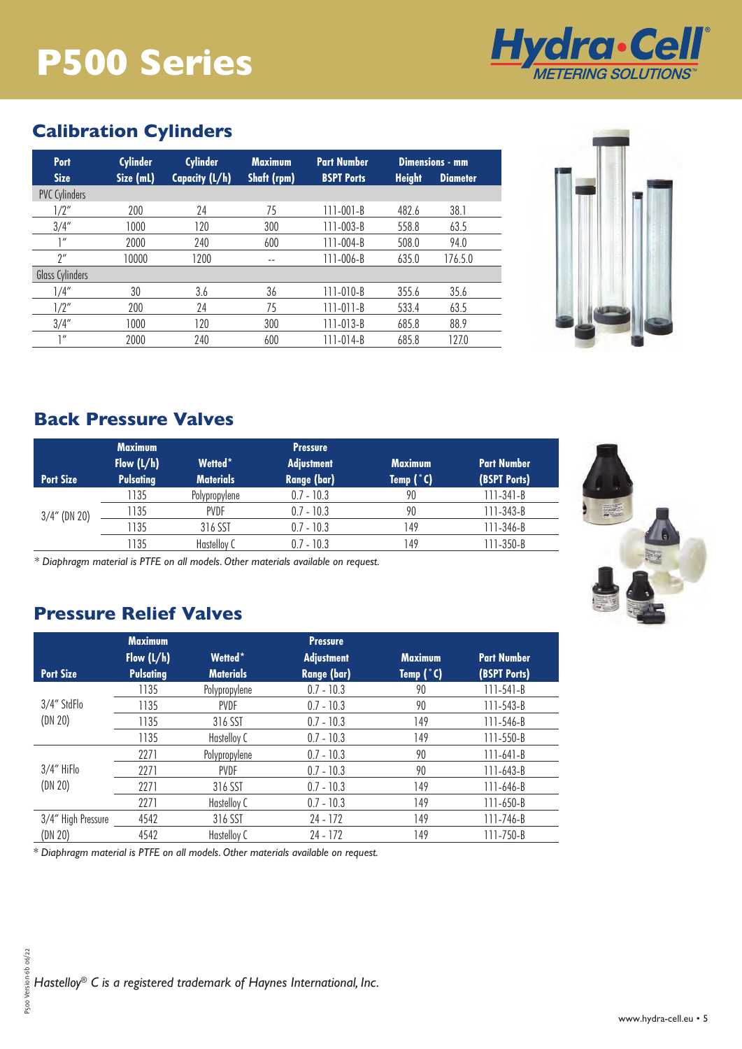# **P500 Series**



## **Calibration Cylinders**

| Port                 | <b>Cylinder</b> | <b>Cylinder</b> | <b>Maximum</b>     | <b>Part Number</b> |               | Dimensions - mm |
|----------------------|-----------------|-----------------|--------------------|--------------------|---------------|-----------------|
| <b>Size</b>          | Size (mL)       | Capacity (L/h)  | <b>Shaft (rpm)</b> | <b>BSPT Ports</b>  | <b>Height</b> | <b>Diameter</b> |
| <b>PVC Cylinders</b> |                 |                 |                    |                    |               |                 |
| 1/2"                 | 200             | 24              | 75                 | $111 - 001 - B$    | 482.6         | 38.1            |
| 3/4''                | 1000            | 120             | 300                | $111 - 003 - B$    | 558.8         | 63.5            |
| 1''                  | 2000            | 240             | 600                | $111 - 004 - B$    | 508.0         | 94.0            |
| $2^{\prime\prime}$   | 10000           | 1200            | $-$                | $111 - 006 - B$    | 635.0         | 176.5.0         |
| Glass Cylinders      |                 |                 |                    |                    |               |                 |
| 1/4''                | 30              | 3.6             | 36                 | $111 - 010 - B$    | 355.6         | 35.6            |
| 1/2"                 | 200             | 24              | 75                 | $111 - 011 - B$    | 533.4         | 63.5            |
| 3/4''                | 1000            | 120             | 300                | $111 - 013 - B$    | 685.8         | 88.9            |
| 1''                  | 2000            | 240             | 600                | $111 - 014 - B$    | 685.8         | 127.0           |



## **Back Pressure Valves**

|                  | <b>Maximum</b><br>Flow $(L/h)$ | Wetted*          | <b>Pressure</b><br><b>Adjustment</b> | <b>Maximum</b> | <b>Part Number</b> |
|------------------|--------------------------------|------------------|--------------------------------------|----------------|--------------------|
| <b>Port Size</b> | <b>Pulsating</b>               | <b>Materials</b> | <b>Range (bar)</b>                   | Temp $(°C)$    | (BSPT Ports)       |
|                  | 1135                           | Polypropylene    | $0.7 - 10.3$                         | 90             | 111-341-B          |
| $3/4$ " (DN 20)  | 1135                           | <b>PVDF</b>      | $0.7 - 10.3$                         | 90             | 111-343-B          |
|                  | 1135                           | 316 SST          | $0.7 - 10.3$                         | 149            | 111-346-B          |
|                  | 135                            | Hastelloy C      | $0.7 - 10.3$                         | 149            | 111-350-B          |



*\* Diaphragm material is PTFE on all models. Other materials available on request.*

## **Pressure Relief Valves**

|                        | <b>Maximum</b>   |                  | <b>Pressure</b>    |                |                    |  |
|------------------------|------------------|------------------|--------------------|----------------|--------------------|--|
|                        | Flow $(L/h)$     | Wetted*          | <b>Adjustment</b>  | <b>Maximum</b> | <b>Part Number</b> |  |
| <b>Port Size</b>       | <b>Pulsating</b> | <b>Materials</b> | <b>Range (bar)</b> | Temp $(°C)$    | (BSPT Ports)       |  |
|                        | 1135             | Polypropylene    | $0.7 - 10.3$       | 90             | $111 - 541 - B$    |  |
| 3/4" StdFlo<br>(DN 20) | 1135             | <b>PVDF</b>      | $0.7 - 10.3$       | 90             | $111 - 543 - B$    |  |
|                        | 1135             | 316 SST          | $0.7 - 10.3$       | 149            | $111 - 546 - B$    |  |
|                        | 1135             | Hastelloy C      | $0.7 - 10.3$       | 149            | $111 - 550 - B$    |  |
|                        | 2271             | Polypropylene    | $0.7 - 10.3$       | 90             | $111-641-B$        |  |
| 3/4" HiFlo             | 2271             | <b>PVDF</b>      | $0.7 - 10.3$       | 90             | $111 - 643 - B$    |  |
| (DN 20)                | 2271             | 316 SST          | $0.7 - 10.3$       | 149            | $111 - 646 - B$    |  |
|                        | 2271             | Hastelloy C      | $0.7 - 10.3$       | 149            | $111 - 650 - B$    |  |
| 3/4" High Pressure     | 4542             | 316 SST          | 24 - 172           | 149            | 111-746-B          |  |
| (DN 20)                | 4542             | Hastelloy C      | 24 - 172           | 149            | 111-750-B          |  |

*\* Diaphragm material is PTFE on all models. Other materials available on request.*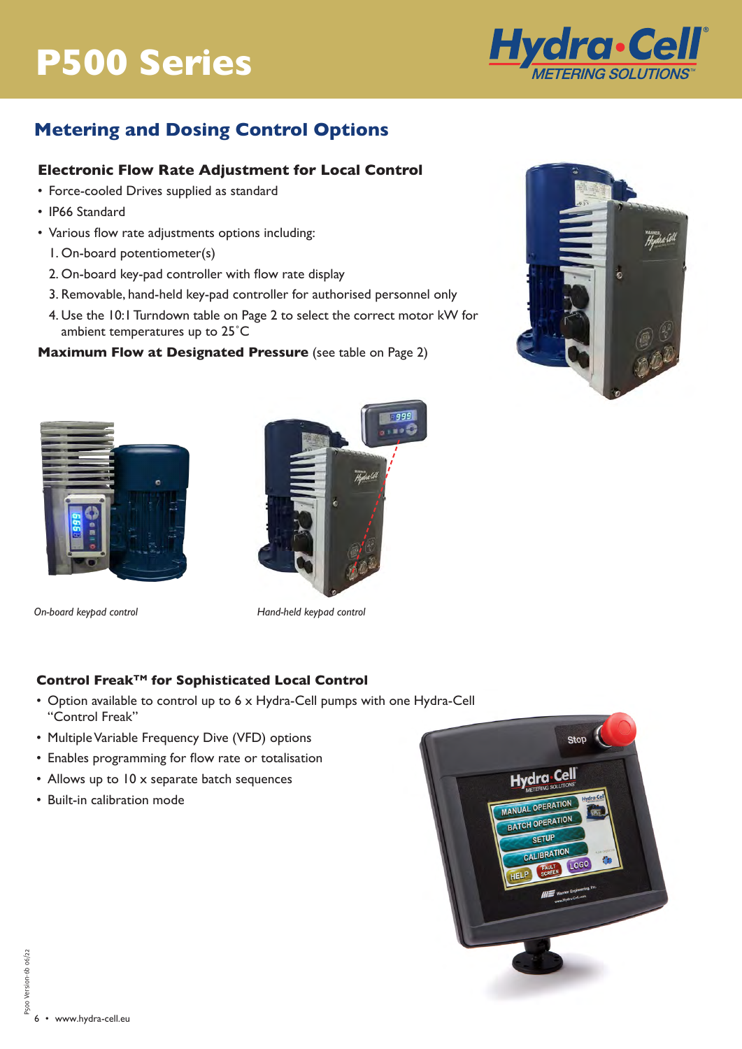# **P300 Series P500 Series**



man<br>Hudsarlı

# **Metering and Dosing Control Options**

## **Electronic Flow Rate Adjustment for Local Control**

- Force-cooled Drives supplied as standard
- IP66 Standard
- Various flow rate adjustments options including:
	- 1. On-board potentiometer(s)
	- 2. On-board key-pad controller with flow rate display
	- 3. Removable, hand-held key-pad controller for authorised personnel only
	- 4. Use the 10:1 Turndown table on Page 2 to select the correct motor kW for ambient temperatures up to 25˚C

## **Maximum Flow at Designated Pressure** (see table on Page 2)





*On-board keypad control Hand-held keypad control*

## **Control FreakTM for Sophisticated Local Control**

- Option available to control up to 6 x Hydra-Cell pumps with one Hydra-Cell "Control Freak"
- Multiple Variable Frequency Dive (VFD) options
- Enables programming for flow rate or totalisation
- Allows up to 10 x separate batch sequences
- Built-in calibration mode



P500 Version-6b 06/22 P500 Version-6b 06/22 6 • www.hydra-cell.eu